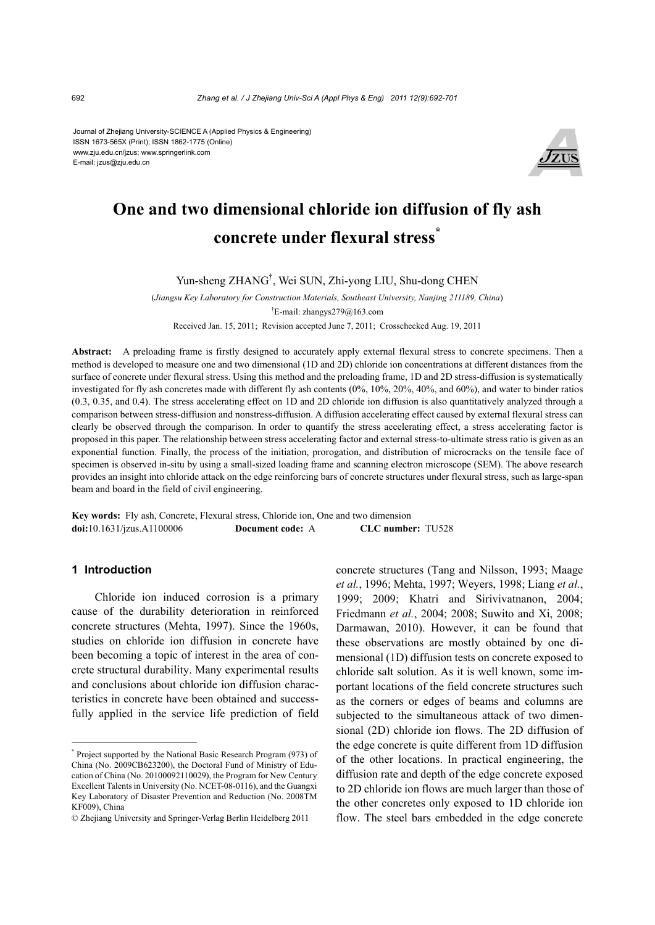Journal of Zhejiang University-SCIENCE A (Applied Physics & Engineering) ISSN 1673-565X (Print); ISSN 1862-1775 (Online) www.zju.edu.cn/jzus; www.springerlink.com E-mail: jzus@zju.edu.cn



# **One and two dimensional chloride ion diffusion of fly ash concrete under flexural stress\***

# Yun-sheng ZHANG† , Wei SUN, Zhi-yong LIU, Shu-dong CHEN

(*Jiangsu Key Laboratory for Construction Materials, Southeast University, Nanjing 211189, China*) † E-mail: zhangys279@163.com

Received Jan. 15, 2011; Revision accepted June 7, 2011; Crosschecked Aug. 19, 2011

**Abstract:** A preloading frame is firstly designed to accurately apply external flexural stress to concrete specimens. Then a method is developed to measure one and two dimensional (1D and 2D) chloride ion concentrations at different distances from the surface of concrete under flexural stress. Using this method and the preloading frame, 1D and 2D stress-diffusion is systematically investigated for fly ash concretes made with different fly ash contents (0%, 10%, 20%, 40%, and 60%), and water to binder ratios (0.3, 0.35, and 0.4). The stress accelerating effect on 1D and 2D chloride ion diffusion is also quantitatively analyzed through a comparison between stress-diffusion and nonstress-diffusion. A diffusion accelerating effect caused by external flexural stress can clearly be observed through the comparison. In order to quantify the stress accelerating effect, a stress accelerating factor is proposed in this paper. The relationship between stress accelerating factor and external stress-to-ultimate stress ratio is given as an exponential function. Finally, the process of the initiation, prorogation, and distribution of microcracks on the tensile face of specimen is observed in-situ by using a small-sized loading frame and scanning electron microscope (SEM). The above research provides an insight into chloride attack on the edge reinforcing bars of concrete structures under flexural stress, such as large-span beam and board in the field of civil engineering.

**Key words:** Fly ash, Concrete, Flexural stress, Chloride ion, One and two dimension **doi:**10.1631/jzus.A1100006 **Document code:** A **CLC number:** TU528

#### **1 Introduction**

Chloride ion induced corrosion is a primary cause of the durability deterioration in reinforced concrete structures (Mehta, 1997). Since the 1960s, studies on chloride ion diffusion in concrete have been becoming a topic of interest in the area of concrete structural durability. Many experimental results and conclusions about chloride ion diffusion characteristics in concrete have been obtained and successfully applied in the service life prediction of field concrete structures (Tang and Nilsson, 1993; Maage *et al.*, 1996; Mehta, 1997; Weyers, 1998; Liang *et al.*, 1999; 2009; Khatri and Sirivivatnanon, 2004; Friedmann *et al.*, 2004; 2008; Suwito and Xi, 2008; Darmawan, 2010). However, it can be found that these observations are mostly obtained by one dimensional (1D) diffusion tests on concrete exposed to chloride salt solution. As it is well known, some important locations of the field concrete structures such as the corners or edges of beams and columns are subjected to the simultaneous attack of two dimensional (2D) chloride ion flows. The 2D diffusion of the edge concrete is quite different from 1D diffusion of the other locations. In practical engineering, the diffusion rate and depth of the edge concrete exposed to 2D chloride ion flows are much larger than those of the other concretes only exposed to 1D chloride ion flow. The steel bars embedded in the edge concrete

<sup>\*</sup> Project supported by the National Basic Research Program (973) of China (No. 2009CB623200), the Doctoral Fund of Ministry of Education of China (No. 20100092110029), the Program for New Century Excellent Talents in University (No. NCET-08-0116), and the Guangxi Key Laboratory of Disaster Prevention and Reduction (No. 2008TM KF009), China

<sup>©</sup> Zhejiang University and Springer-Verlag Berlin Heidelberg 2011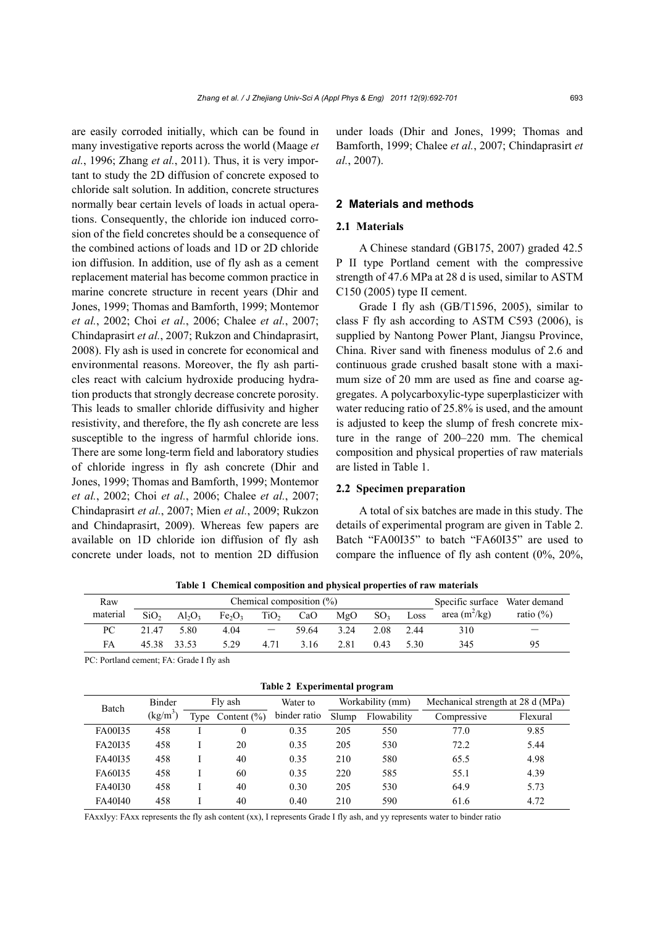are easily corroded initially, which can be found in many investigative reports across the world (Maage *et al.*, 1996; Zhang *et al.*, 2011). Thus, it is very important to study the 2D diffusion of concrete exposed to chloride salt solution. In addition, concrete structures normally bear certain levels of loads in actual operations. Consequently, the chloride ion induced corrosion of the field concretes should be a consequence of the combined actions of loads and 1D or 2D chloride ion diffusion. In addition, use of fly ash as a cement replacement material has become common practice in marine concrete structure in recent years (Dhir and Jones, 1999; Thomas and Bamforth, 1999; Montemor *et al.*, 2002; Choi *et al.*, 2006; Chalee *et al.*, 2007; Chindaprasirt *et al.*, 2007; Rukzon and Chindaprasirt, 2008). Fly ash is used in concrete for economical and environmental reasons. Moreover, the fly ash particles react with calcium hydroxide producing hydration products that strongly decrease concrete porosity. This leads to smaller chloride diffusivity and higher resistivity, and therefore, the fly ash concrete are less susceptible to the ingress of harmful chloride ions. There are some long-term field and laboratory studies of chloride ingress in fly ash concrete (Dhir and Jones, 1999; Thomas and Bamforth, 1999; Montemor *et al.*, 2002; Choi *et al.*, 2006; Chalee *et al.*, 2007; Chindaprasirt *et al.*, 2007; Mien *et al.*, 2009; Rukzon and Chindaprasirt, 2009). Whereas few papers are available on 1D chloride ion diffusion of fly ash concrete under loads, not to mention 2D diffusion

under loads (Dhir and Jones, 1999; Thomas and Bamforth, 1999; Chalee *et al.*, 2007; Chindaprasirt *et al.*, 2007).

#### **2 Materials and methods**

# **2.1 Materials**

A Chinese standard (GB175, 2007) graded 42.5 P II type Portland cement with the compressive strength of 47.6 MPa at 28 d is used, similar to ASTM C150 (2005) type II cement.

Grade I fly ash (GB/T1596, 2005), similar to class F fly ash according to ASTM C593 (2006), is supplied by Nantong Power Plant, Jiangsu Province, China. River sand with fineness modulus of 2.6 and continuous grade crushed basalt stone with a maximum size of 20 mm are used as fine and coarse aggregates. A polycarboxylic-type superplasticizer with water reducing ratio of 25.8% is used, and the amount is adjusted to keep the slump of fresh concrete mixture in the range of 200–220 mm. The chemical composition and physical properties of raw materials are listed in Table 1.

#### **2.2 Specimen preparation**

A total of six batches are made in this study. The details of experimental program are given in Table 2. Batch "FA00I35" to batch "FA60I35" are used to compare the influence of fly ash content (0%, 20%,

| Raw      | Chemical composition $(\%)$ |             |                                |                  |       |      |                 | Specific surface Water demand |                 |              |
|----------|-----------------------------|-------------|--------------------------------|------------------|-------|------|-----------------|-------------------------------|-----------------|--------------|
| material | SiO <sub>2</sub>            | $Al_2O_3$   | Fe <sub>2</sub> O <sub>3</sub> | TiO <sub>2</sub> | CaO   | MgO  | SO <sub>3</sub> | Loss                          | area $(m^2/kg)$ | ratio $(\%)$ |
| PС       | 21.47                       | 5.80        | 4.04                           |                  | 59.64 | 3.24 | 2.08            | 2.44                          | 310             |              |
| FA       |                             | 45.38 33.53 | 5.29                           | 4.71             | 3.16  | 2.81 | 0.43            | 5.30                          | 345             | 95           |

**Table 1 Chemical composition and physical properties of raw materials**

PC: Portland cement; FA: Grade I fly ash

| Batch   | Binder     | Fly ash |                 | Water to     | Workability (mm) |             | Mechanical strength at 28 d (MPa) |          |
|---------|------------|---------|-----------------|--------------|------------------|-------------|-----------------------------------|----------|
|         | $(kg/m^3)$ | Type    | Content $(\% )$ | binder ratio | Slump            | Flowability | Compressive                       | Flexural |
| FA00135 | 458        |         | 0               | 0.35         | 205              | 550         | 77.0                              | 9.85     |
| FA20135 | 458        |         | 20              | 0.35         | 205              | 530         | 72.2                              | 5.44     |
| FA40135 | 458        |         | 40              | 0.35         | 210              | 580         | 65.5                              | 4.98     |
| FA60135 | 458        |         | 60              | 0.35         | 220              | 585         | 55.1                              | 4.39     |
| FA40130 | 458        |         | 40              | 0.30         | 205              | 530         | 64.9                              | 5.73     |
| FA40I40 | 458        |         | 40              | 0.40         | 210              | 590         | 61.6                              | 4.72     |

**Table 2 Experimental program**

FAxxIyy: FAxx represents the fly ash content (xx), I represents Grade I fly ash, and yy represents water to binder ratio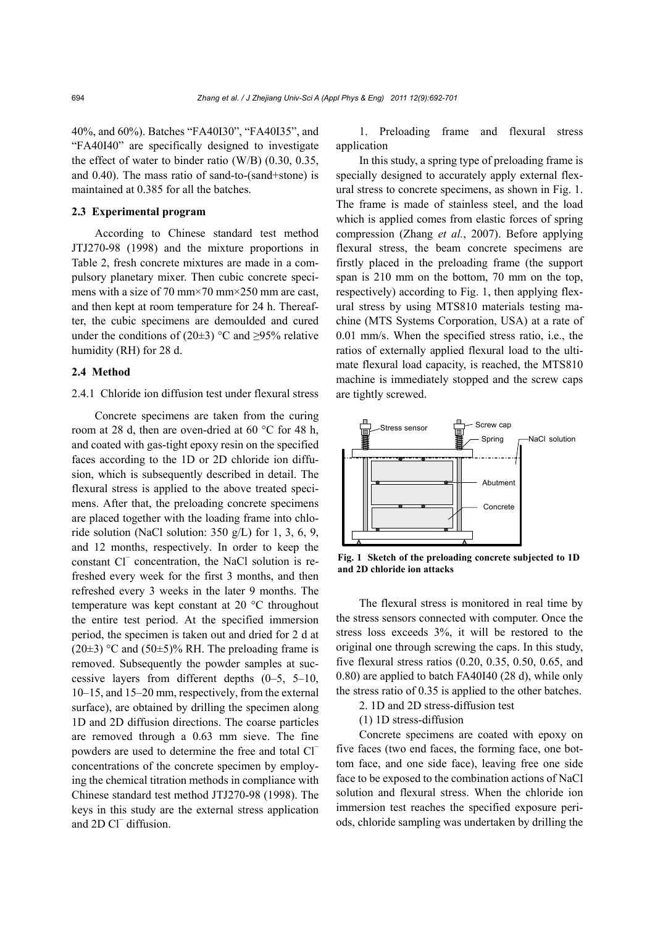40%, and 60%). Batches "FA40I30", "FA40I35", and "FA40I40" are specifically designed to investigate the effect of water to binder ratio (W/B) (0.30, 0.35, and 0.40). The mass ratio of sand-to-(sand+stone) is maintained at 0.385 for all the batches.

#### **2.3 Experimental program**

According to Chinese standard test method JTJ270-98 (1998) and the mixture proportions in Table 2, fresh concrete mixtures are made in a compulsory planetary mixer. Then cubic concrete specimens with a size of 70 mm $\times$ 70 mm $\times$ 250 mm are cast, and then kept at room temperature for 24 h. Thereafter, the cubic specimens are demoulded and cured under the conditions of (20 $\pm$ 3) °C and  $\geq$ 95% relative humidity (RH) for 28 d.

#### **2.4 Method**

#### 2.4.1 Chloride ion diffusion test under flexural stress

Concrete specimens are taken from the curing room at 28 d, then are oven-dried at 60 °C for 48 h, and coated with gas-tight epoxy resin on the specified faces according to the 1D or 2D chloride ion diffusion, which is subsequently described in detail. The flexural stress is applied to the above treated specimens. After that, the preloading concrete specimens are placed together with the loading frame into chloride solution (NaCl solution: 350 g/L) for 1, 3, 6, 9, and 12 months, respectively. In order to keep the constant Cl<sup>−</sup> concentration, the NaCl solution is refreshed every week for the first 3 months, and then refreshed every 3 weeks in the later 9 months. The temperature was kept constant at 20 °C throughout the entire test period. At the specified immersion period, the specimen is taken out and dried for 2 d at  $(20\pm3)$  °C and  $(50\pm5)$ % RH. The preloading frame is removed. Subsequently the powder samples at successive layers from different depths (0–5, 5–10, 10–15, and 15–20 mm, respectively, from the external surface), are obtained by drilling the specimen along 1D and 2D diffusion directions. The coarse particles are removed through a 0.63 mm sieve. The fine powders are used to determine the free and total Cl<sup>−</sup> concentrations of the concrete specimen by employing the chemical titration methods in compliance with Chinese standard test method JTJ270-98 (1998). The keys in this study are the external stress application and 2D Cl<sup>−</sup> diffusion.

1. Preloading frame and flexural stress application

In this study, a spring type of preloading frame is specially designed to accurately apply external flexural stress to concrete specimens, as shown in Fig. 1. The frame is made of stainless steel, and the load which is applied comes from elastic forces of spring compression (Zhang *et al.*, 2007). Before applying flexural stress, the beam concrete specimens are firstly placed in the preloading frame (the support span is 210 mm on the bottom, 70 mm on the top, respectively) according to Fig. 1, then applying flexural stress by using MTS810 materials testing machine (MTS Systems Corporation, USA) at a rate of 0.01 mm/s. When the specified stress ratio, i.e., the ratios of externally applied flexural load to the ultimate flexural load capacity, is reached, the MTS810 machine is immediately stopped and the screw caps are tightly screwed.



**Fig. 1 Sketch of the preloading concrete subjected to 1D and 2D chloride ion attacks** 

The flexural stress is monitored in real time by the stress sensors connected with computer. Once the stress loss exceeds 3%, it will be restored to the original one through screwing the caps. In this study, five flexural stress ratios (0.20, 0.35, 0.50, 0.65, and 0.80) are applied to batch FA40I40 (28 d), while only the stress ratio of 0.35 is applied to the other batches.

- 2. 1D and 2D stress-diffusion test
- (1) 1D stress-diffusion

Concrete specimens are coated with epoxy on five faces (two end faces, the forming face, one bottom face, and one side face), leaving free one side face to be exposed to the combination actions of NaCl solution and flexural stress. When the chloride ion immersion test reaches the specified exposure periods, chloride sampling was undertaken by drilling the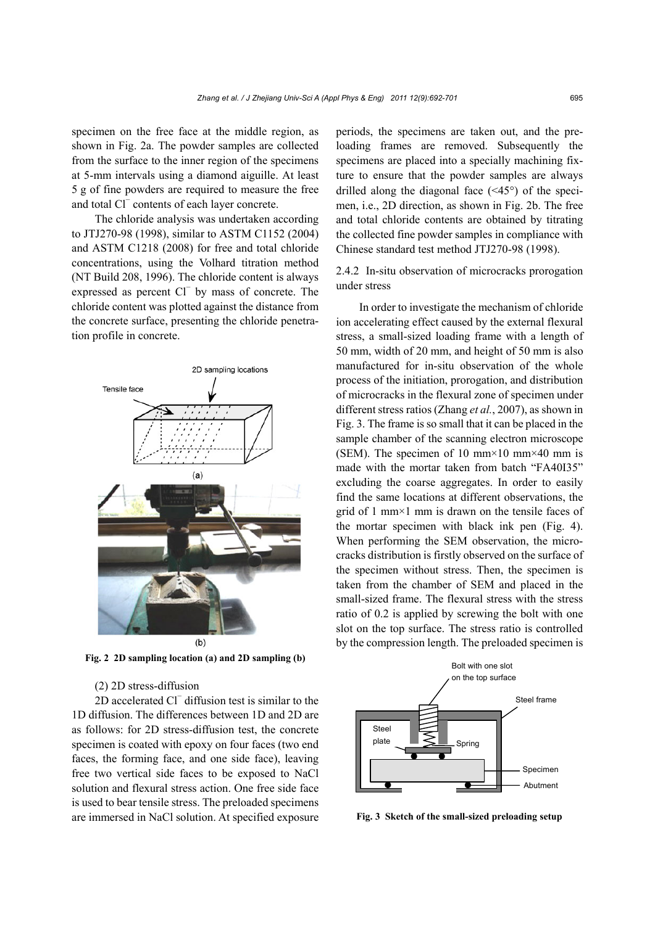specimen on the free face at the middle region, as shown in Fig. 2a. The powder samples are collected from the surface to the inner region of the specimens at 5-mm intervals using a diamond aiguille. At least 5 g of fine powders are required to measure the free and total Cl<sup>−</sup> contents of each layer concrete.

The chloride analysis was undertaken according to JTJ270-98 (1998), similar to ASTM C1152 (2004) and ASTM C1218 (2008) for free and total chloride concentrations, using the Volhard titration method (NT Build 208, 1996). The chloride content is always expressed as percent Cl<sup>−</sup> by mass of concrete. The chloride content was plotted against the distance from the concrete surface, presenting the chloride penetration profile in concrete.



**Fig. 2 2D sampling location (a) and 2D sampling (b)** 

#### (2) 2D stress-diffusion

2D accelerated Cl<sup>−</sup> diffusion test is similar to the 1D diffusion. The differences between 1D and 2D are as follows: for 2D stress-diffusion test, the concrete specimen is coated with epoxy on four faces (two end faces, the forming face, and one side face), leaving free two vertical side faces to be exposed to NaCl solution and flexural stress action. One free side face is used to bear tensile stress. The preloaded specimens are immersed in NaCl solution. At specified exposure

periods, the specimens are taken out, and the preloading frames are removed. Subsequently the specimens are placed into a specially machining fixture to ensure that the powder samples are always drilled along the diagonal face (<45°) of the specimen, i.e., 2D direction, as shown in Fig. 2b. The free and total chloride contents are obtained by titrating the collected fine powder samples in compliance with Chinese standard test method JTJ270-98 (1998).

2.4.2 In-situ observation of microcracks prorogation under stress

In order to investigate the mechanism of chloride ion accelerating effect caused by the external flexural stress, a small-sized loading frame with a length of 50 mm, width of 20 mm, and height of 50 mm is also manufactured for in-situ observation of the whole process of the initiation, prorogation, and distribution of microcracks in the flexural zone of specimen under different stress ratios (Zhang *et al.*, 2007), as shown in Fig. 3. The frame is so small that it can be placed in the sample chamber of the scanning electron microscope (SEM). The specimen of 10 mm×10 mm×40 mm is made with the mortar taken from batch "FA40I35" excluding the coarse aggregates. In order to easily find the same locations at different observations, the grid of 1 mm×1 mm is drawn on the tensile faces of the mortar specimen with black ink pen (Fig. 4). When performing the SEM observation, the microcracks distribution is firstly observed on the surface of the specimen without stress. Then, the specimen is taken from the chamber of SEM and placed in the small-sized frame. The flexural stress with the stress ratio of 0.2 is applied by screwing the bolt with one slot on the top surface. The stress ratio is controlled by the compression length. The preloaded specimen is



**Fig. 3 Sketch of the small-sized preloading setup**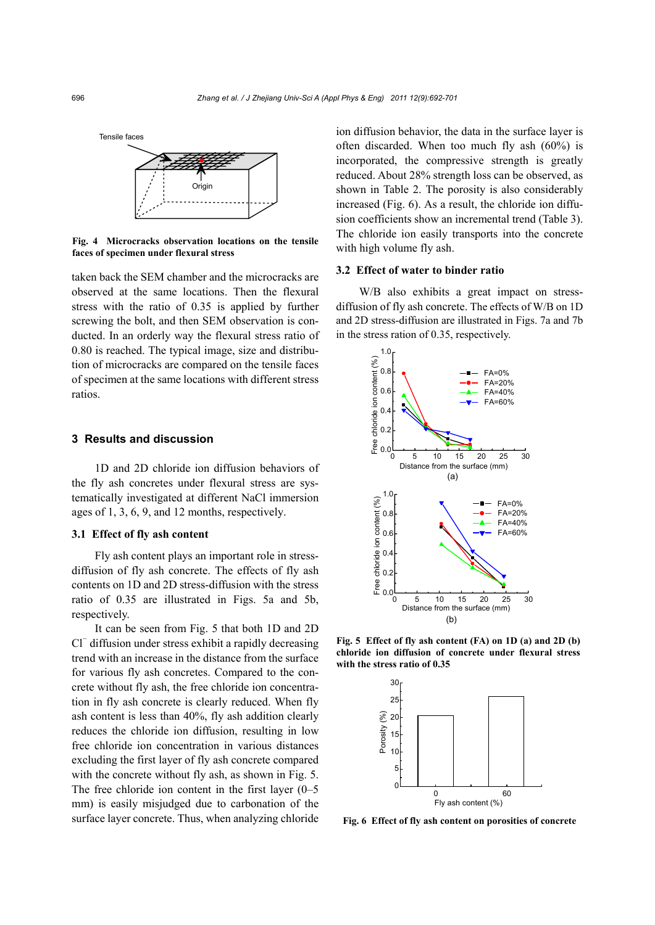



**Fig. 4 Microcracks observation locations on the tensile faces of specimen under flexural stress**

taken back the SEM chamber and the microcracks are observed at the same locations. Then the flexural stress with the ratio of 0.35 is applied by further screwing the bolt, and then SEM observation is conducted. In an orderly way the flexural stress ratio of 0.80 is reached. The typical image, size and distribution of microcracks are compared on the tensile faces of specimen at the same locations with different stress ratios.

# **3 Results and discussion**

1D and 2D chloride ion diffusion behaviors of the fly ash concretes under flexural stress are systematically investigated at different NaCl immersion ages of 1, 3, 6, 9, and 12 months, respectively.

#### **3.1 Effect of fly ash content**

Fly ash content plays an important role in stressdiffusion of fly ash concrete. The effects of fly ash contents on 1D and 2D stress-diffusion with the stress ratio of 0.35 are illustrated in Figs. 5a and 5b, respectively.

It can be seen from Fig. 5 that both 1D and 2D Cl<sup>−</sup> diffusion under stress exhibit a rapidly decreasing trend with an increase in the distance from the surface for various fly ash concretes. Compared to the concrete without fly ash, the free chloride ion concentration in fly ash concrete is clearly reduced. When fly ash content is less than 40%, fly ash addition clearly reduces the chloride ion diffusion, resulting in low free chloride ion concentration in various distances excluding the first layer of fly ash concrete compared with the concrete without fly ash, as shown in Fig. 5. The free chloride ion content in the first layer (0–5 mm) is easily misjudged due to carbonation of the surface layer concrete. Thus, when analyzing chloride

ion diffusion behavior, the data in the surface layer is often discarded. When too much fly ash (60%) is incorporated, the compressive strength is greatly reduced. About 28% strength loss can be observed, as shown in Table 2. The porosity is also considerably increased (Fig. 6). As a result, the chloride ion diffusion coefficients show an incremental trend (Table 3). The chloride ion easily transports into the concrete with high volume fly ash.

#### **3.2 Effect of water to binder ratio**

W/B also exhibits a great impact on stressdiffusion of fly ash concrete. The effects of W/B on 1D and 2D stress-diffusion are illustrated in Figs. 7a and 7b in the stress ration of 0.35, respectively.



**Fig. 5 Effect of fly ash content (FA) on 1D (a) and 2D (b) chloride ion diffusion of concrete under flexural stress with the stress ratio of 0.35**



**Fig. 6 Effect of fly ash content on porosities of concrete**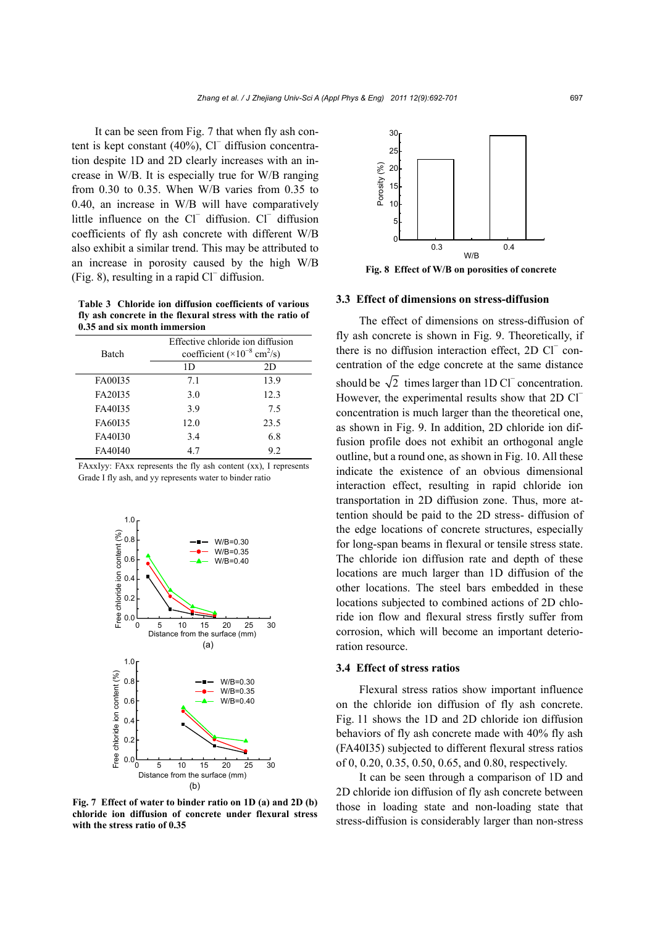It can be seen from Fig. 7 that when fly ash content is kept constant (40%), Cl<sup>−</sup> diffusion concentration despite 1D and 2D clearly increases with an increase in W/B. It is especially true for W/B ranging from 0.30 to 0.35. When W/B varies from 0.35 to 0.40, an increase in W/B will have comparatively little influence on the Cl<sup>−</sup> diffusion. Cl<sup>−</sup> diffusion coefficients of fly ash concrete with different W/B also exhibit a similar trend. This may be attributed to an increase in porosity caused by the high W/B (Fig. 8), resulting in a rapid Cl<sup>−</sup> diffusion.

**Table 3 Chloride ion diffusion coefficients of various fly ash concrete in the flexural stress with the ratio of 0.35 and six month immersion**

| Batch   | Effective chloride ion diffusion<br>coefficient ( $\times 10^{-8}$ cm <sup>2</sup> /s) |      |  |  |  |
|---------|----------------------------------------------------------------------------------------|------|--|--|--|
|         | 1D                                                                                     | 2D   |  |  |  |
| FA00135 | 7.1                                                                                    | 13.9 |  |  |  |
| FA20135 | 3.0                                                                                    | 12.3 |  |  |  |
| FA40135 | 3.9                                                                                    | 75   |  |  |  |
| FA60135 | 12.0                                                                                   | 23.5 |  |  |  |
| FA40130 | 3.4                                                                                    | 6.8  |  |  |  |
| FA40I40 | 4.7                                                                                    | 9.2  |  |  |  |

|  |                                                          |  |  | FAxxIyy: FAxx represents the fly ash content (xx), I represents |
|--|----------------------------------------------------------|--|--|-----------------------------------------------------------------|
|  | Grade I fly ash, and yy represents water to binder ratio |  |  |                                                                 |



**Fig. 7 Effect of water to binder ratio on 1D (a) and 2D (b) chloride ion diffusion of concrete under flexural stress with the stress ratio of 0.35** 

30 25 Porosity (%) Porosity (%) 20 15 10 5  $\Omega$ 0.3 0.4 W/B

**Fig. 8 Effect of W/B on porosities of concrete** 

# **3.3 Effect of dimensions on stress-diffusion**

The effect of dimensions on stress-diffusion of fly ash concrete is shown in Fig. 9. Theoretically, if there is no diffusion interaction effect, 2D Cl<sup>−</sup> concentration of the edge concrete at the same distance should be  $\sqrt{2}$  times larger than 1D Cl<sup>−</sup> concentration. However, the experimental results show that 2D Cl<sup>−</sup> concentration is much larger than the theoretical one, as shown in Fig. 9. In addition, 2D chloride ion diffusion profile does not exhibit an orthogonal angle outline, but a round one, as shown in Fig. 10. All these indicate the existence of an obvious dimensional interaction effect, resulting in rapid chloride ion transportation in 2D diffusion zone. Thus, more attention should be paid to the 2D stress- diffusion of the edge locations of concrete structures, especially for long-span beams in flexural or tensile stress state. The chloride ion diffusion rate and depth of these locations are much larger than 1D diffusion of the other locations. The steel bars embedded in these locations subjected to combined actions of 2D chloride ion flow and flexural stress firstly suffer from corrosion, which will become an important deterioration resource.

#### **3.4 Effect of stress ratios**

Flexural stress ratios show important influence on the chloride ion diffusion of fly ash concrete. Fig. 11 shows the 1D and 2D chloride ion diffusion behaviors of fly ash concrete made with 40% fly ash (FA40I35) subjected to different flexural stress ratios of 0, 0.20, 0.35, 0.50, 0.65, and 0.80, respectively.

It can be seen through a comparison of 1D and 2D chloride ion diffusion of fly ash concrete between those in loading state and non-loading state that stress-diffusion is considerably larger than non-stress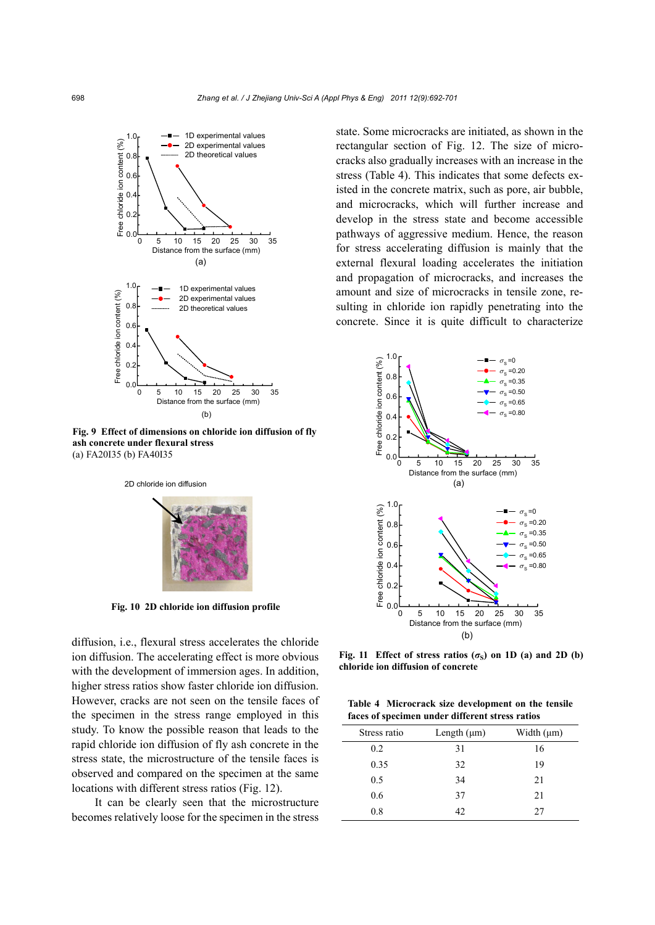

**Fig. 9 Effect of dimensions on chloride ion diffusion of fly ash concrete under flexural stress**  (a) FA20I35 (b) FA40I35

2D chloride ion diffusion



**Fig. 10 2D chloride ion diffusion profile**

diffusion, i.e., flexural stress accelerates the chloride ion diffusion. The accelerating effect is more obvious with the development of immersion ages. In addition, higher stress ratios show faster chloride ion diffusion. However, cracks are not seen on the tensile faces of the specimen in the stress range employed in this study. To know the possible reason that leads to the rapid chloride ion diffusion of fly ash concrete in the stress state, the microstructure of the tensile faces is observed and compared on the specimen at the same locations with different stress ratios (Fig. 12).

It can be clearly seen that the microstructure becomes relatively loose for the specimen in the stress

state. Some microcracks are initiated, as shown in the rectangular section of Fig. 12. The size of microcracks also gradually increases with an increase in the stress (Table 4). This indicates that some defects existed in the concrete matrix, such as pore, air bubble, and microcracks, which will further increase and develop in the stress state and become accessible pathways of aggressive medium. Hence, the reason for stress accelerating diffusion is mainly that the external flexural loading accelerates the initiation and propagation of microcracks, and increases the amount and size of microcracks in tensile zone, resulting in chloride ion rapidly penetrating into the concrete. Since it is quite difficult to characterize



**Fig. 11** Effect of stress ratios  $(\sigma_S)$  on 1D (a) and 2D (b) **chloride ion diffusion of concrete**

**Table 4 Microcrack size development on the tensile faces of specimen under different stress ratios**

| Stress ratio | Length $(\mu m)$ | Width $(\mu m)$ |
|--------------|------------------|-----------------|
| 0.2          | 31               | 16              |
| 0.35         | 32               | 19              |
| 0.5          | 34               | 21              |
| 0.6          | 37               | 21              |
| 0.8          | 42               | 27              |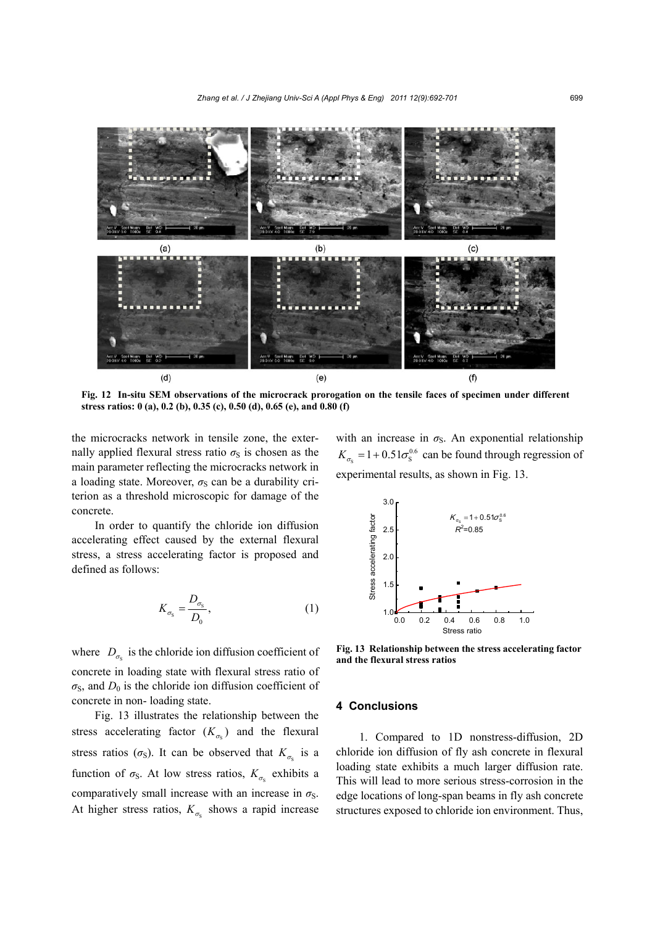

**Fig. 12 In-situ SEM observations of the microcrack prorogation on the tensile faces of specimen under different stress ratios: 0 (a), 0.2 (b), 0.35 (c), 0.50 (d), 0.65 (e), and 0.80 (f)** 

the microcracks network in tensile zone, the externally applied flexural stress ratio  $\sigma<sub>S</sub>$  is chosen as the main parameter reflecting the microcracks network in a loading state. Moreover,  $\sigma<sub>S</sub>$  can be a durability criterion as a threshold microscopic for damage of the concrete.

In order to quantify the chloride ion diffusion accelerating effect caused by the external flexural stress, a stress accelerating factor is proposed and defined as follows:

$$
K_{\sigma_{\rm S}} = \frac{D_{\sigma_{\rm S}}}{D_0},\tag{1}
$$

where  $D_{\sigma}$  is the chloride ion diffusion coefficient of concrete in loading state with flexural stress ratio of  $\sigma$ <sub>S</sub>, and  $D_0$  is the chloride ion diffusion coefficient of concrete in non- loading state.

Fig. 13 illustrates the relationship between the stress accelerating factor  $(K_{\sigma_s})$  and the flexural stress ratios ( $\sigma_S$ ). It can be observed that  $K_{\sigma_S}$  is a function of  $\sigma_S$ . At low stress ratios,  $K_{\sigma_S}$  exhibits a comparatively small increase with an increase in  $\sigma_s$ . At higher stress ratios,  $K_{\sigma}$  shows a rapid increase

with an increase in  $\sigma$ <sub>S</sub>. An exponential relationship S  $K_{\sigma s} = 1 + 0.51 \sigma s^{0.6}$  can be found through regression of experimental results, as shown in Fig. 13.



**Fig. 13 Relationship between the stress accelerating factor and the flexural stress ratios** 

#### **4 Conclusions**

1. Compared to 1D nonstress-diffusion, 2D chloride ion diffusion of fly ash concrete in flexural loading state exhibits a much larger diffusion rate. This will lead to more serious stress-corrosion in the edge locations of long-span beams in fly ash concrete structures exposed to chloride ion environment. Thus,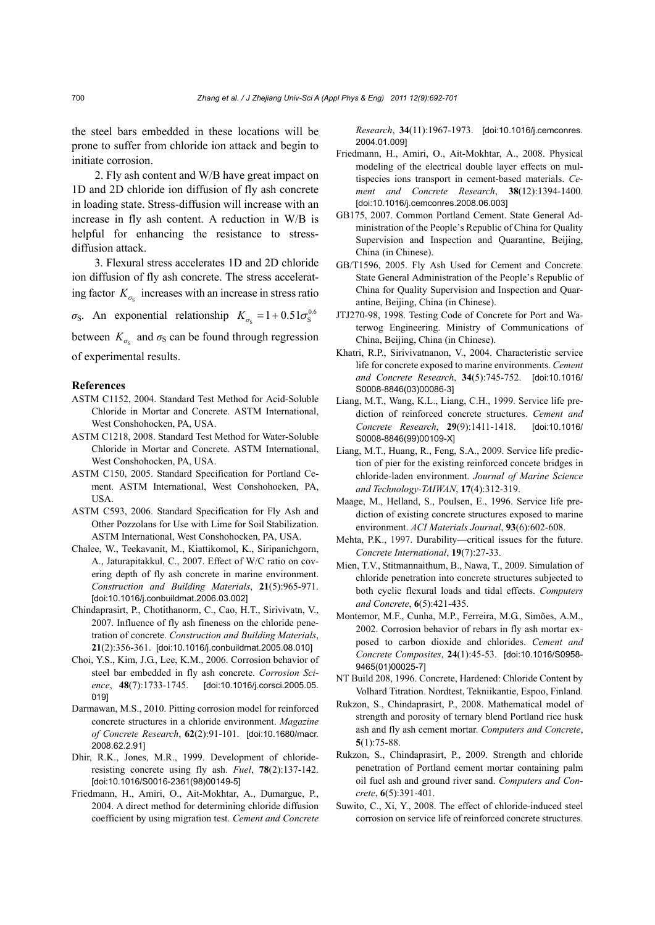the steel bars embedded in these locations will be prone to suffer from chloride ion attack and begin to initiate corrosion.

2. Fly ash content and W/B have great impact on 1D and 2D chloride ion diffusion of fly ash concrete in loading state. Stress-diffusion will increase with an increase in fly ash content. A reduction in W/B is helpful for enhancing the resistance to stressdiffusion attack.

3. Flexural stress accelerates 1D and 2D chloride ion diffusion of fly ash concrete. The stress accelerating factor  $K_{\sigma}$  increases with an increase in stress ratio

 $\sigma_S$ . An exponential relationship  $K_{\sigma_S} = 1 + 0.51 \sigma_S^{0.6}$ 

between  $K_{\sigma_s}$  and  $\sigma_s$  can be found through regression of experimental results.

#### **References**

- ASTM C1152, 2004. Standard Test Method for Acid-Soluble Chloride in Mortar and Concrete. ASTM International, West Conshohocken, PA, USA.
- ASTM C1218, 2008. Standard Test Method for Water-Soluble Chloride in Mortar and Concrete. ASTM International, West Conshohocken, PA, USA.
- ASTM C150, 2005. Standard Specification for Portland Cement. ASTM International, West Conshohocken, PA, **USA**
- ASTM C593, 2006. Standard Specification for Fly Ash and Other Pozzolans for Use with Lime for Soil Stabilization. ASTM International, West Conshohocken, PA, USA.
- Chalee, W., Teekavanit, M., Kiattikomol, K., Siripanichgorn, A., Jaturapitakkul, C., 2007. Effect of W/C ratio on covering depth of fly ash concrete in marine environment. *Construction and Building Materials*, **21**(5):965-971. [doi:10.1016/j.conbuildmat.2006.03.002]
- Chindaprasirt, P., Chotithanorm, C., Cao, H.T., Sirivivatn, V., 2007. Influence of fly ash fineness on the chloride penetration of concrete. *Construction and Building Materials*, **21**(2):356-361. [doi:10.1016/j.conbuildmat.2005.08.010]
- Choi, Y.S., Kim, J.G., Lee, K.M., 2006. Corrosion behavior of steel bar embedded in fly ash concrete. *Corrosion Science*, **48**(7):1733-1745.[doi:10.1016/j.corsci.2005.05. 019]
- Darmawan, M.S., 2010. Pitting corrosion model for reinforced concrete structures in a chloride environment. *Magazine of Concrete Research*, **62**(2):91-101. [doi:10.1680/macr. 2008.62.2.91]
- Dhir, R.K., Jones, M.R., 1999. Development of chlorideresisting concrete using fly ash. *Fuel*, **78**(2):137-142. [doi:10.1016/S0016-2361(98)00149-5]
- Friedmann, H., Amiri, O., Ait-Mokhtar, A., Dumargue, P., 2004. A direct method for determining chloride diffusion coefficient by using migration test. *Cement and Concrete*

*Research*, **34**(11):1967-1973. [doi:10.1016/j.cemconres. 2004.01.009]

- Friedmann, H., Amiri, O., Ait-Mokhtar, A., 2008. Physical modeling of the electrical double layer effects on multispecies ions transport in cement-based materials. *Cement and Concrete Research*, **38**(12):1394-1400. [doi:10.1016/j.cemconres.2008.06.003]
- GB175, 2007. Common Portland Cement. State General Administration of the People's Republic of China for Quality Supervision and Inspection and Quarantine, Beijing, China (in Chinese).
- GB/T1596, 2005. Fly Ash Used for Cement and Concrete. State General Administration of the People's Republic of China for Quality Supervision and Inspection and Quarantine, Beijing, China (in Chinese).
- JTJ270-98, 1998. Testing Code of Concrete for Port and Waterwog Engineering. Ministry of Communications of China, Beijing, China (in Chinese).
- Khatri, R.P., Sirivivatnanon, V., 2004. Characteristic service life for concrete exposed to marine environments. *Cement and Concrete Research*, **34**(5):745-752. [doi:10.1016/ S0008-8846(03)00086-3]
- Liang, M.T., Wang, K.L., Liang, C.H., 1999. Service life prediction of reinforced concrete structures. *Cement and Concrete Research*, **29**(9):1411-1418. [doi:10.1016/ S0008-8846(99)00109-X]
- Liang, M.T., Huang, R., Feng, S.A., 2009. Service life prediction of pier for the existing reinforced concete bridges in chloride-laden environment. *Journal of Marine Science and Technology-TAIWAN*, **17**(4):312-319.
- Maage, M., Helland, S., Poulsen, E., 1996. Service life prediction of existing concrete structures exposed to marine environment. *ACI Materials Journal*, **93**(6):602-608.
- Mehta, P.K., 1997. Durability—critical issues for the future. *Concrete International*, **19**(7):27-33.
- Mien, T.V., Stitmannaithum, B., Nawa, T., 2009. Simulation of chloride penetration into concrete structures subjected to both cyclic flexural loads and tidal effects. *Computers and Concrete*, **6**(5):421-435.
- Montemor, M.F., Cunha, M.P., Ferreira, M.G., Simões, A.M., 2002. Corrosion behavior of rebars in fly ash mortar exposed to carbon dioxide and chlorides. *Cement and Concrete Composites*, **24**(1):45-53. [doi:10.1016/S0958- 9465(01)00025-7]
- NT Build 208, 1996. Concrete, Hardened: Chloride Content by Volhard Titration. Nordtest, Tekniikantie, Espoo, Finland.
- Rukzon, S., Chindaprasirt, P., 2008. Mathematical model of strength and porosity of ternary blend Portland rice husk ash and fly ash cement mortar. *Computers and Concrete*, **5**(1):75-88.
- Rukzon, S., Chindaprasirt, P., 2009. Strength and chloride penetration of Portland cement mortar containing palm oil fuel ash and ground river sand. *Computers and Concrete*, **6**(5):391-401.
- Suwito, C., Xi, Y., 2008. The effect of chloride-induced steel corrosion on service life of reinforced concrete structures.